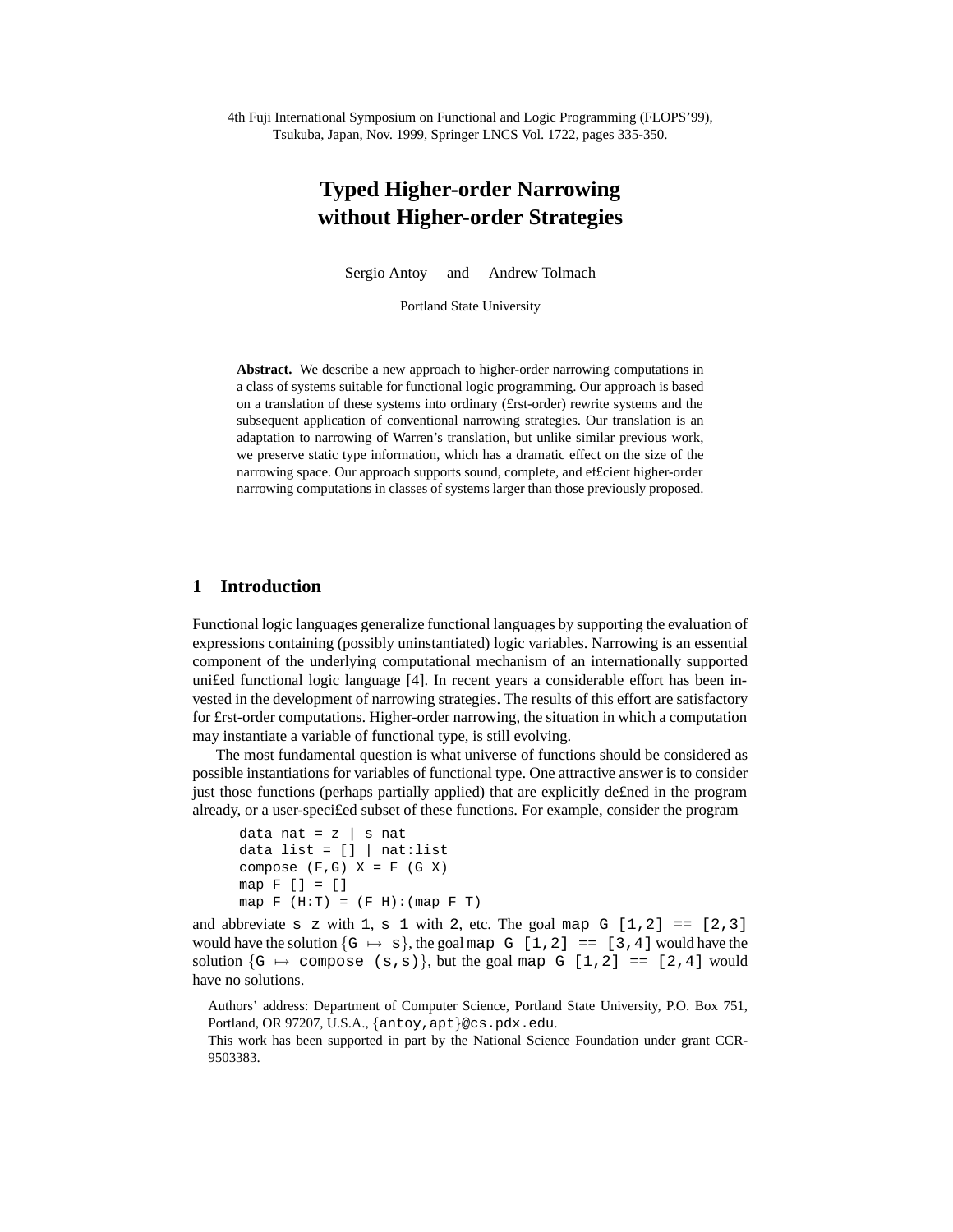4th Fuji International Symposium on Functional and Logic Programming (FLOPS'99), Tsukuba, Japan, Nov. 1999, Springer LNCS Vol. 1722, pages 335-350.

# **Typed Higher-order Narrowing without Higher-order Strategies**

Sergio Antoy and Andrew Tolmach

Portland State University

**Abstract.** We describe a new approach to higher-order narrowing computations in a class of systems suitable for functional logic programming. Our approach is based on a translation of these systems into ordinary (£rst-order) rewrite systems and the subsequent application of conventional narrowing strategies. Our translation is an adaptation to narrowing of Warren's translation, but unlike similar previous work, we preserve static type information, which has a dramatic effect on the size of the narrowing space. Our approach supports sound, complete, and ef£cient higher-order narrowing computations in classes of systems larger than those previously proposed.

# **1 Introduction**

Functional logic languages generalize functional languages by supporting the evaluation of expressions containing (possibly uninstantiated) logic variables. Narrowing is an essential component of the underlying computational mechanism of an internationally supported uni£ed functional logic language [4]. In recent years a considerable effort has been invested in the development of narrowing strategies. The results of this effort are satisfactory for £rst-order computations. Higher-order narrowing, the situation in which a computation may instantiate a variable of functional type, is still evolving.

The most fundamental question is what universe of functions should be considered as possible instantiations for variables of functional type. One attractive answer is to consider just those functions (perhaps partially applied) that are explicitly de£ned in the program already, or a user-speci£ed subset of these functions. For example, consider the program

```
data nat = z | s nat
data list = \lceil \cdot \rceil | nat:list
compose (F,G) X = F (G X)map F [] = []
map F (H:T) = (F H): (map F T)
```
and abbreviate s z with 1, s 1 with 2, etc. The goal map G  $[1,2] = [2,3]$ would have the solution  $\{G \mapsto s\}$ , the goal map  $G [1, 2] = [3, 4]$  would have the solution  $\{G \mapsto \text{composite}(s,s)\}\$ , but the goal map  $G [1,2] == [2,4]$  would have no solutions.

Authors' address: Department of Computer Science, Portland State University, P.O. Box 751, Portland, OR 97207, U.S.A., {antoy, apt}@cs.pdx.edu.

This work has been supported in part by the National Science Foundation under grant CCR-9503383.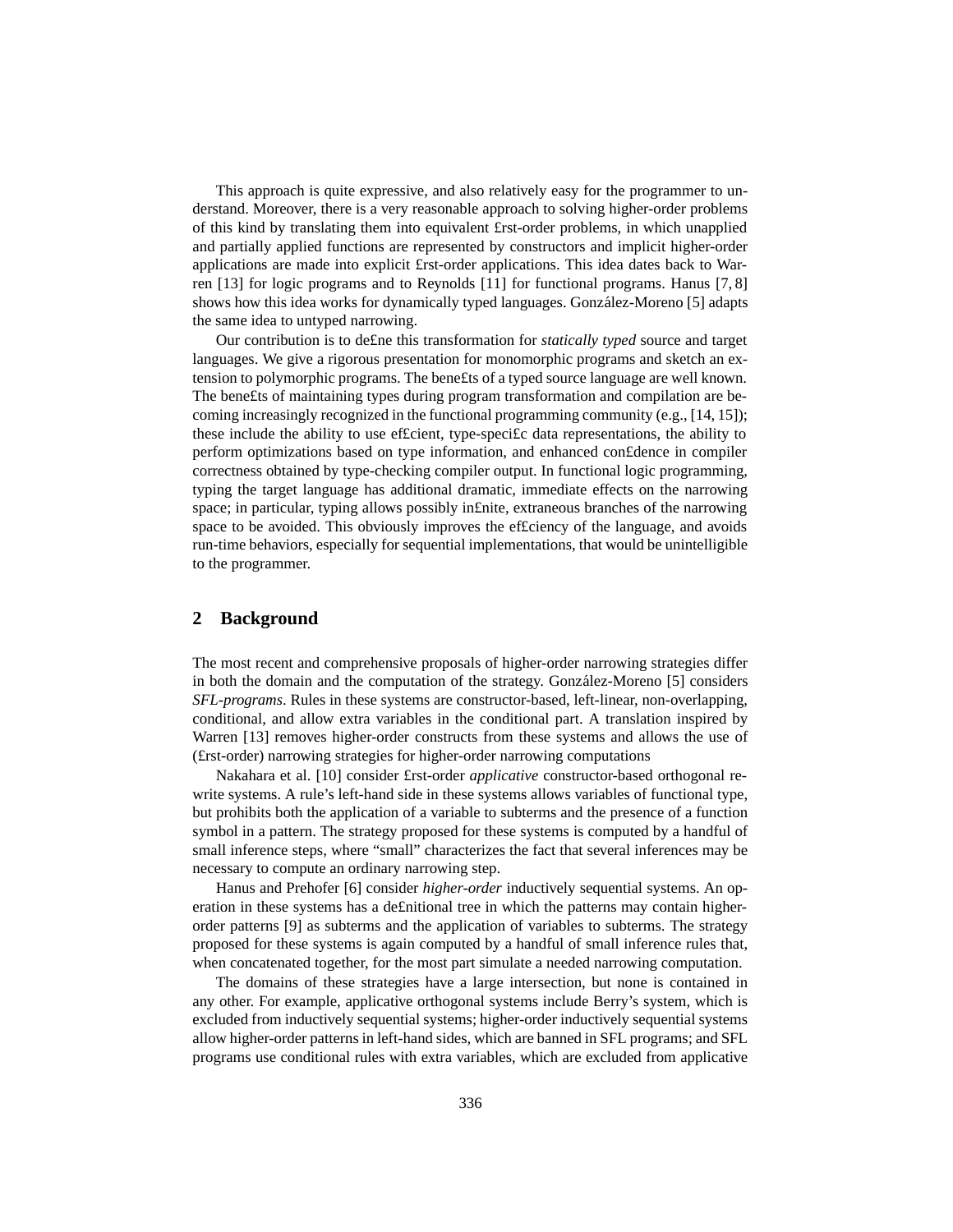This approach is quite expressive, and also relatively easy for the programmer to understand. Moreover, there is a very reasonable approach to solving higher-order problems of this kind by translating them into equivalent £rst-order problems, in which unapplied and partially applied functions are represented by constructors and implicit higher-order applications are made into explicit £rst-order applications. This idea dates back to Warren [13] for logic programs and to Reynolds [11] for functional programs. Hanus [7, 8] shows how this idea works for dynamically typed languages. González-Moreno [5] adapts the same idea to untyped narrowing.

Our contribution is to de£ne this transformation for *statically typed* source and target languages. We give a rigorous presentation for monomorphic programs and sketch an extension to polymorphic programs. The bene£ts of a typed source language are well known. The bene£ts of maintaining types during program transformation and compilation are becoming increasingly recognized in the functional programming community (e.g.,  $[14, 15]$ ); these include the ability to use ef£cient, type-speci£c data representations, the ability to perform optimizations based on type information, and enhanced con£dence in compiler correctness obtained by type-checking compiler output. In functional logic programming, typing the target language has additional dramatic, immediate effects on the narrowing space; in particular, typing allows possibly in£nite, extraneous branches of the narrowing space to be avoided. This obviously improves the ef£ciency of the language, and avoids run-time behaviors, especially for sequential implementations, that would be unintelligible to the programmer.

# **2 Background**

The most recent and comprehensive proposals of higher-order narrowing strategies differ in both the domain and the computation of the strategy. Gonzalez-Moreno [5] considers *SFL-programs*. Rules in these systems are constructor-based, left-linear, non-overlapping, conditional, and allow extra variables in the conditional part. A translation inspired by Warren [13] removes higher-order constructs from these systems and allows the use of (£rst-order) narrowing strategies for higher-order narrowing computations

Nakahara et al. [10] consider £rst-order *applicative* constructor-based orthogonal rewrite systems. A rule's left-hand side in these systems allows variables of functional type, but prohibits both the application of a variable to subterms and the presence of a function symbol in a pattern. The strategy proposed for these systems is computed by a handful of small inference steps, where "small" characterizes the fact that several inferences may be necessary to compute an ordinary narrowing step.

Hanus and Prehofer [6] consider *higher-order* inductively sequential systems. An operation in these systems has a de£nitional tree in which the patterns may contain higherorder patterns [9] as subterms and the application of variables to subterms. The strategy proposed for these systems is again computed by a handful of small inference rules that, when concatenated together, for the most part simulate a needed narrowing computation.

The domains of these strategies have a large intersection, but none is contained in any other. For example, applicative orthogonal systems include Berry's system, which is excluded from inductively sequential systems; higher-order inductively sequential systems allow higher-order patterns in left-hand sides, which are banned in SFL programs; and SFL programs use conditional rules with extra variables, which are excluded from applicative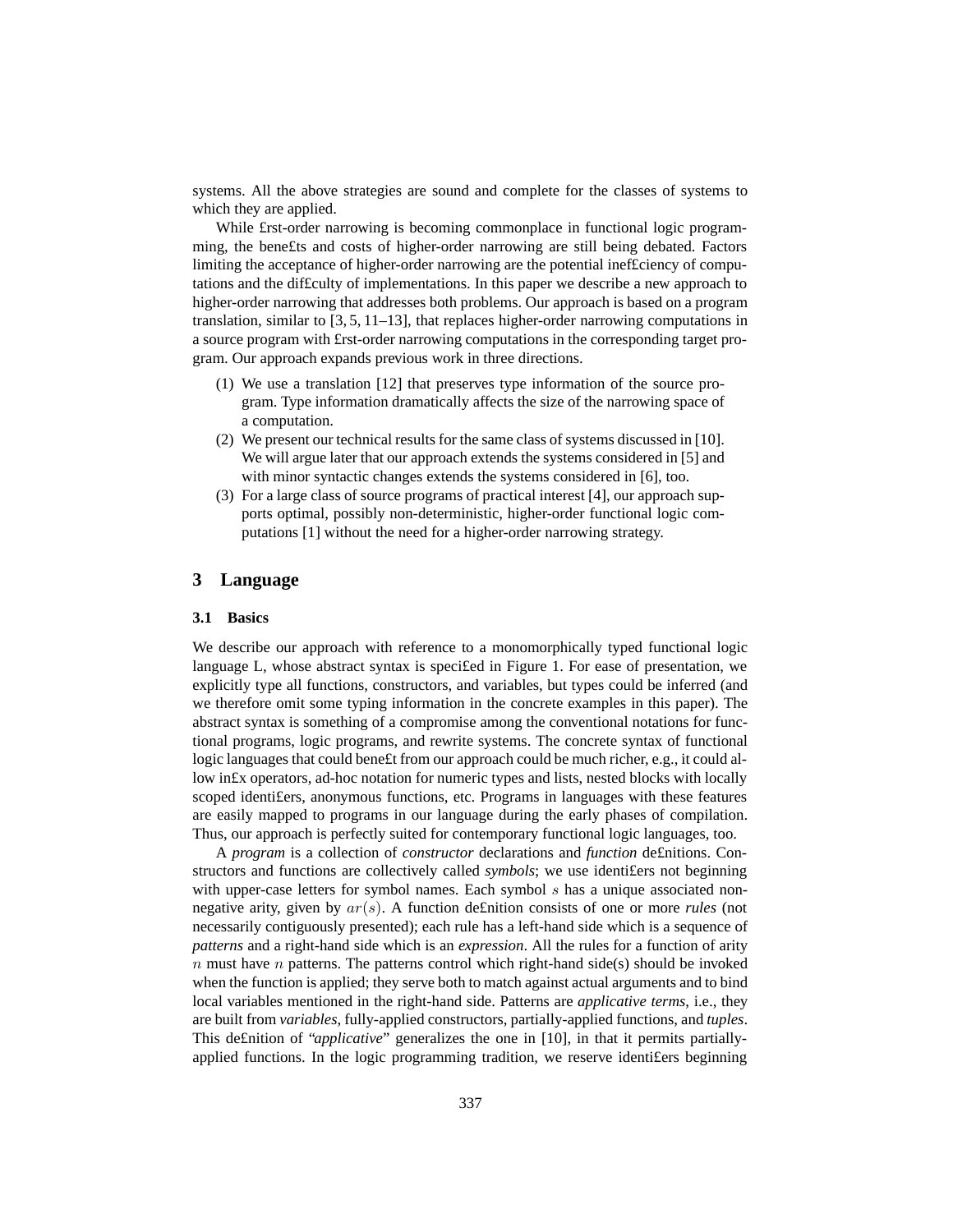systems. All the above strategies are sound and complete for the classes of systems to which they are applied.

While £rst-order narrowing is becoming commonplace in functional logic programming, the bene£ts and costs of higher-order narrowing are still being debated. Factors limiting the acceptance of higher-order narrowing are the potential inef£ciency of computations and the dif£culty of implementations. In this paper we describe a new approach to higher-order narrowing that addresses both problems. Our approach is based on a program translation, similar to  $\left[3, 5, 11-13\right]$ , that replaces higher-order narrowing computations in a source program with £rst-order narrowing computations in the corresponding target program. Our approach expands previous work in three directions.

- (1) We use a translation [12] that preserves type information of the source program. Type information dramatically affects the size of the narrowing space of a computation.
- (2) We present our technical results for the same class of systems discussed in  $[10]$ . We will argue later that our approach extends the systems considered in [5] and with minor syntactic changes extends the systems considered in [6], too.
- (3) For a large class of source programs of practical interest [4], our approach supports optimal, possibly non-deterministic, higher-order functional logic computations [1] without the need for a higher-order narrowing strategy.

## **3 Language**

#### **3.1 Basics**

We describe our approach with reference to a monomorphically typed functional logic language L, whose abstract syntax is speci£ed in Figure 1. For ease of presentation, we explicitly type all functions, constructors, and variables, but types could be inferred (and we therefore omit some typing information in the concrete examples in this paper). The abstract syntax is something of a compromise among the conventional notations for functional programs, logic programs, and rewrite systems. The concrete syntax of functional logic languages that could bene£t from our approach could be much richer, e.g., it could allow in£x operators, ad-hoc notation for numeric types and lists, nested blocks with locally scoped identi£ers, anonymous functions, etc. Programs in languages with these features are easily mapped to programs in our language during the early phases of compilation. Thus, our approach is perfectly suited for contemporary functional logic languages, too.

A *program* is a collection of *constructor* declarations and *function* de£nitions. Constructors and functions are collectively called *symbols*; we use identifiers not beginning with upper-case letters for symbol names. Each symbol s has a unique associated nonnegative arity, given by ar(s). A function de£nition consists of one or more *rules* (not necessarily contiguously presented); each rule has a left-hand side which is a sequence of *patterns* and a right-hand side which is an *expression*. All the rules for a function of arity  $n$  must have  $n$  patterns. The patterns control which right-hand side(s) should be invoked when the function is applied; they serve both to match against actual arguments and to bind local variables mentioned in the right-hand side. Patterns are *applicative terms*, i.e., they are built from *variables*, fully-applied constructors, partially-applied functions, and *tuples*. This de£nition of "*applicative*" generalizes the one in [10], in that it permits partiallyapplied functions. In the logic programming tradition, we reserve identi£ers beginning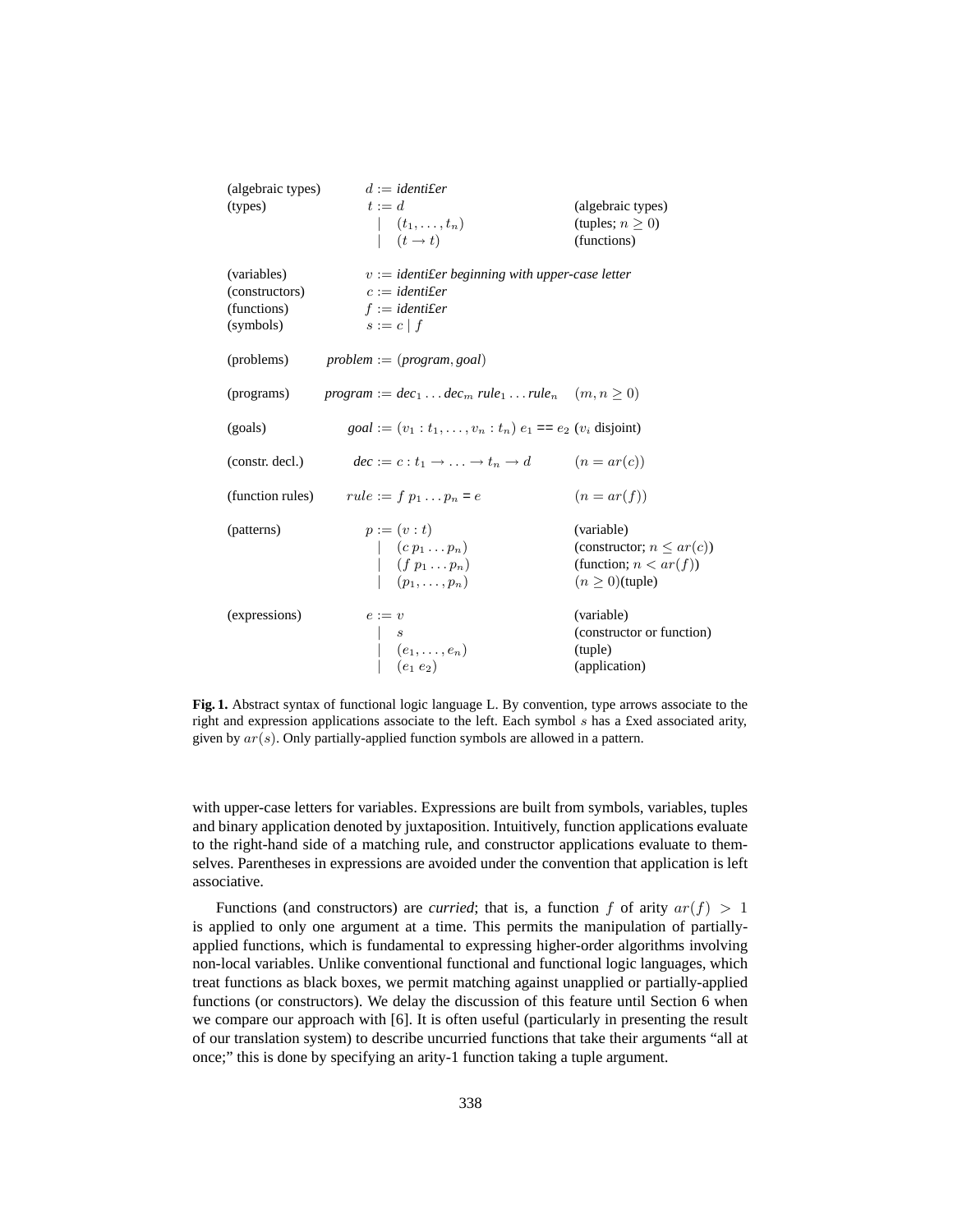| (algebraic types) | $d := identifer$                                                                                    |                                                   |  |
|-------------------|-----------------------------------------------------------------------------------------------------|---------------------------------------------------|--|
| (types)           | $t := d$                                                                                            | (algebraic types)                                 |  |
|                   |                                                                                                     | (tuples; $n \geq 0$ )                             |  |
|                   | $\begin{array}{cc} \mid & (t_1,\ldots,t_n) \\ \mid & (t\rightarrow t) \end{array}$                  | (functions)                                       |  |
|                   |                                                                                                     |                                                   |  |
| (variables)       |                                                                                                     | $v :=$ identifer beginning with upper-case letter |  |
| (constructors)    | $c := identifer$                                                                                    |                                                   |  |
| (functions)       | $f := identifer$                                                                                    |                                                   |  |
| (symbols)         | $s := c   f$                                                                                        |                                                   |  |
|                   |                                                                                                     |                                                   |  |
| (problems)        | $problem := (program, goal)$                                                                        |                                                   |  |
|                   |                                                                                                     |                                                   |  |
| (programs)        | $program := dec_1 \dots dec_m rule_1 \dots rule_n \quad (m, n \ge 0)$                               |                                                   |  |
|                   |                                                                                                     |                                                   |  |
| (goals)           | $goal := (v_1 : t_1, \ldots, v_n : t_n) e_1 == e_2$ ( $v_i$ disjoint)                               |                                                   |  |
|                   |                                                                                                     |                                                   |  |
| (constr. decl.)   | $dec := c : t_1 \rightarrow \ldots \rightarrow t_n \rightarrow d$                                   | $(n = ar(c))$                                     |  |
|                   |                                                                                                     | $(n = ar(f))$                                     |  |
|                   | (function rules) $rule := f p_1  p_n = e$                                                           |                                                   |  |
| (patterns)        | $p := (v : t)$                                                                                      | (variable)                                        |  |
|                   |                                                                                                     | (constructor; $n \leq ar(c)$ )                    |  |
|                   |                                                                                                     | (function; $n < ar(f)$ )                          |  |
|                   | $\begin{array}{cc} & (c\ p_1 \dots p_n) \\ & (f\ p_1 \dots p_n) \\ & (p_1, \dots, p_n) \end{array}$ | $(n \geq 0)$ (tuple)                              |  |
|                   |                                                                                                     |                                                   |  |
| (expressions)     | $e := v$                                                                                            | (variable)                                        |  |
|                   |                                                                                                     | (constructor or function)                         |  |
|                   |                                                                                                     | (tuple)                                           |  |
|                   | $\begin{array}{ c }   & (e_1,\ldots,e_n) \\   & (e_1\ e_2) \end{array}$                             | (application)                                     |  |
|                   |                                                                                                     |                                                   |  |

**Fig. 1.** Abstract syntax of functional logic language L. By convention, type arrows associate to the right and expression applications associate to the left. Each symbol s has a £xed associated arity, given by  $ar(s)$ . Only partially-applied function symbols are allowed in a pattern.

with upper-case letters for variables. Expressions are built from symbols, variables, tuples and binary application denoted by juxtaposition. Intuitively, function applications evaluate to the right-hand side of a matching rule, and constructor applications evaluate to themselves. Parentheses in expressions are avoided under the convention that application is left associative.

Functions (and constructors) are *curried*; that is, a function f of arity  $ar(f) > 1$ is applied to only one argument at a time. This permits the manipulation of partiallyapplied functions, which is fundamental to expressing higher-order algorithms involving non-local variables. Unlike conventional functional and functional logic languages, which treat functions as black boxes, we permit matching against unapplied or partially-applied functions (or constructors). We delay the discussion of this feature until Section 6 when we compare our approach with [6]. It is often useful (particularly in presenting the result of our translation system) to describe uncurried functions that take their arguments "all at once;" this is done by specifying an arity-1 function taking a tuple argument.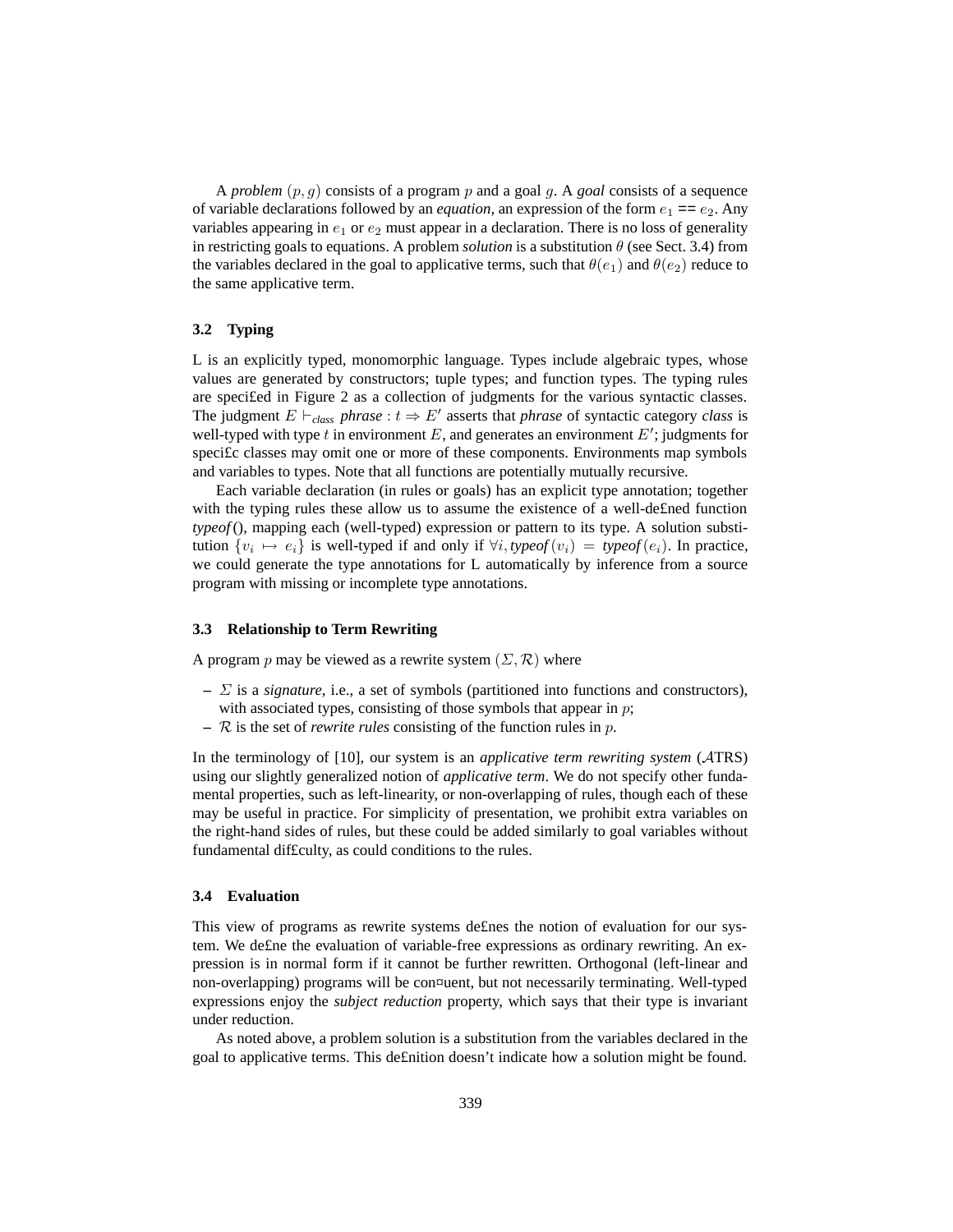A *problem* (p, g) consists of a program p and a goal g. A *goal* consists of a sequence of variable declarations followed by an *equation*, an expression of the form  $e_1 = e_2$ . Any variables appearing in  $e_1$  or  $e_2$  must appear in a declaration. There is no loss of generality in restricting goals to equations. A problem *solution* is a substitution  $\theta$  (see Sect. 3.4) from the variables declared in the goal to applicative terms, such that  $\theta(e_1)$  and  $\theta(e_2)$  reduce to the same applicative term.

#### **3.2 Typing**

L is an explicitly typed, monomorphic language. Types include algebraic types, whose values are generated by constructors; tuple types; and function types. The typing rules are speci£ed in Figure 2 as a collection of judgments for the various syntactic classes. The judgment  $E \vdash_{class} phrase : t \Rightarrow E'$  asserts that *phrase* of syntactic category *class* is well-typed with type t in environment E, and generates an environment  $E'$ ; judgments for speci£c classes may omit one or more of these components. Environments map symbols and variables to types. Note that all functions are potentially mutually recursive.

Each variable declaration (in rules or goals) has an explicit type annotation; together with the typing rules these allow us to assume the existence of a well-de£ned function *typeof* (), mapping each (well-typed) expression or pattern to its type. A solution substitution  $\{v_i \mapsto e_i\}$  is well-typed if and only if  $\forall i, type of(v_i) = type of(e_i)$ . In practice, we could generate the type annotations for L automatically by inference from a source program with missing or incomplete type annotations.

## **3.3 Relationship to Term Rewriting**

A program p may be viewed as a rewrite system  $(\Sigma, \mathcal{R})$  where

- **–** Σ is a *signature*, i.e., a set of symbols (partitioned into functions and constructors), with associated types, consisting of those symbols that appear in  $p$ ;
- **–** R is the set of *rewrite rules* consisting of the function rules in p.

In the terminology of [10], our system is an *applicative term rewriting system* (ATRS) using our slightly generalized notion of *applicative term*. We do not specify other fundamental properties, such as left-linearity, or non-overlapping of rules, though each of these may be useful in practice. For simplicity of presentation, we prohibit extra variables on the right-hand sides of rules, but these could be added similarly to goal variables without fundamental dif£culty, as could conditions to the rules.

## **3.4 Evaluation**

This view of programs as rewrite systems de£nes the notion of evaluation for our system. We de£ne the evaluation of variable-free expressions as ordinary rewriting. An expression is in normal form if it cannot be further rewritten. Orthogonal (left-linear and non-overlapping) programs will be con¤uent, but not necessarily terminating. Well-typed expressions enjoy the *subject reduction* property, which says that their type is invariant under reduction.

As noted above, a problem solution is a substitution from the variables declared in the goal to applicative terms. This de£nition doesn't indicate how a solution might be found.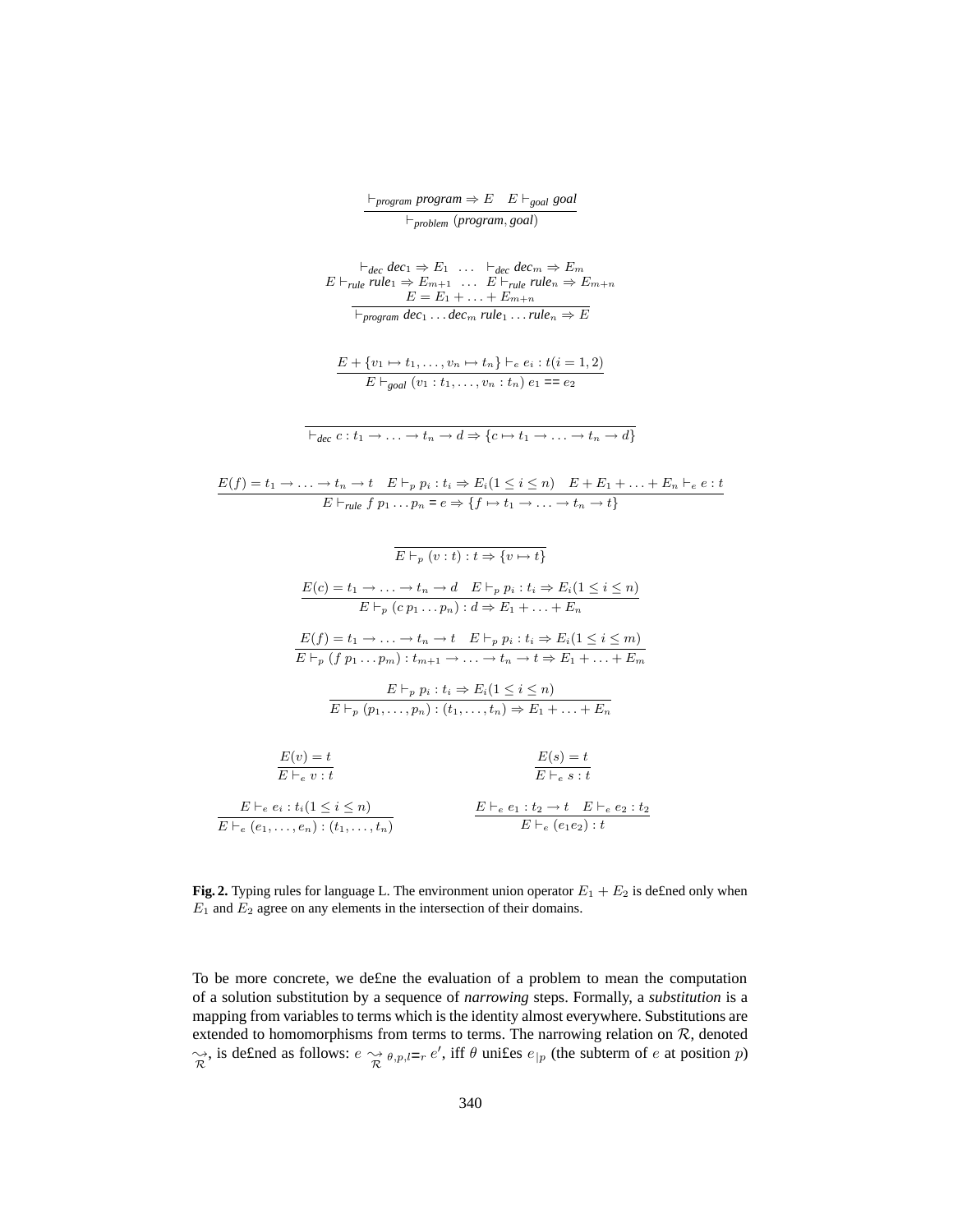| $\vdash_{\textit{program}} \textit{program} \Rightarrow E \quad E \vdash_{\textit{goal}} \textit{goal}$ |                                   |  |
|---------------------------------------------------------------------------------------------------------|-----------------------------------|--|
|                                                                                                         | $\vdash_{problem}(program, goal)$ |  |

$$
E \vdash_{rule} \text{elec}_{1} \Rightarrow E_{1} \dots \vdash_{dec} \text{dec}_{m} \Rightarrow E_{m}
$$
\n
$$
E \vdash_{rule} \text{rule } \text{rule } 1 \Rightarrow E_{m+1} \dots E \vdash_{rule} \text{rule } \text{rule } \text{rule } n \Rightarrow E_{m+n}
$$
\n
$$
E = E_{1} + \dots + E_{m+n}
$$
\n
$$
\overline{\vdash_{program} dec_{1} \dots dec_{m} rule_{1} \dots rule_{n}} \Rightarrow E
$$

- $E + \{v_1 \mapsto t_1, \ldots, v_n \mapsto t_n\} \vdash_e e_i : t(i = 1, 2)$  $E \vdash_{goal} (v_1 : t_1, \ldots, v_n : t_n) e_1 = e_2$
- $\overline{\mathcal{A}_{dec} c : t_1 \to \ldots \to t_n \to d} \Rightarrow \{c \mapsto t_1 \to \ldots \to t_n \to d\}$

$$
E(f) = t_1 \rightarrow \dots \rightarrow t_n \rightarrow t \quad E \vdash_p p_i : t_i \Rightarrow E_i (1 \leq i \leq n) \quad E + E_1 + \dots + E_n \vdash_e e : t
$$
  

$$
E \vdash_{rule} f p_1 \dots p_n = e \Rightarrow \{f \mapsto t_1 \rightarrow \dots \rightarrow t_n \rightarrow t\}
$$

$$
\overline{E \vdash_{p} (v:t): t \Rightarrow \{v \mapsto t\}}
$$
\n
$$
\underline{E(c) = t_{1} \rightarrow \ldots \rightarrow t_{n} \rightarrow d \quad E \vdash_{p} p_{i}: t_{i} \Rightarrow E_{i}(1 \leq i \leq n)}{E \vdash_{p} (c \ p_{1} \ldots p_{n}): d \Rightarrow E_{1} + \ldots + E_{n}}
$$
\n
$$
\underline{E(f) = t_{1} \rightarrow \ldots \rightarrow t_{n} \rightarrow t \quad E \vdash_{p} p_{i}: t_{i} \Rightarrow E_{i}(1 \leq i \leq m)}{E \vdash_{p} (f \ p_{1} \ldots p_{m}): t_{m+1} \rightarrow \ldots \rightarrow t_{n} \rightarrow t \Rightarrow E_{1} + \ldots + E_{m}}
$$
\n
$$
\underline{E \vdash_{p} p_{i}: t_{i} \Rightarrow E_{i}(1 \leq i \leq n)}{E \vdash_{p} (p_{1}, \ldots, p_{n}): (t_{1}, \ldots, t_{n}) \Rightarrow E_{1} + \ldots + E_{n}}
$$
\n
$$
\underline{E(v) = t}
$$
\n
$$
\overline{E \vdash_{e} v: t}
$$
\n
$$
\underline{E \vdash_{e} e_{i}: t_{i}(1 \leq i \leq n)} \qquad \underline{E \vdash_{e} e_{1}: t_{2} \rightarrow t \quad E \vdash_{e} e_{2}: t_{2} \Rightarrow E \vdash_{e} (e_{1}, \ldots, e_{n}): (t_{1}, \ldots, t_{n}) \qquad E \vdash_{e} (e_{1} e_{2}): t}
$$

**Fig. 2.** Typing rules for language L. The environment union operator  $E_1 + E_2$  is defined only when  $E_1$  and  $E_2$  agree on any elements in the intersection of their domains.

To be more concrete, we de£ne the evaluation of a problem to mean the computation of a solution substitution by a sequence of *narrowing* steps. Formally, a *substitution* is a mapping from variables to terms which is the identity almost everywhere. Substitutions are extended to homomorphisms from terms to terms. The narrowing relation on  $R$ , denoted  $\gamma_R^*$ , is defined as follows:  $e \gamma_R^* e_{p,l=r} e'$ , iff  $\theta$  unifies  $e_{|p|}$  (the subterm of e at position p)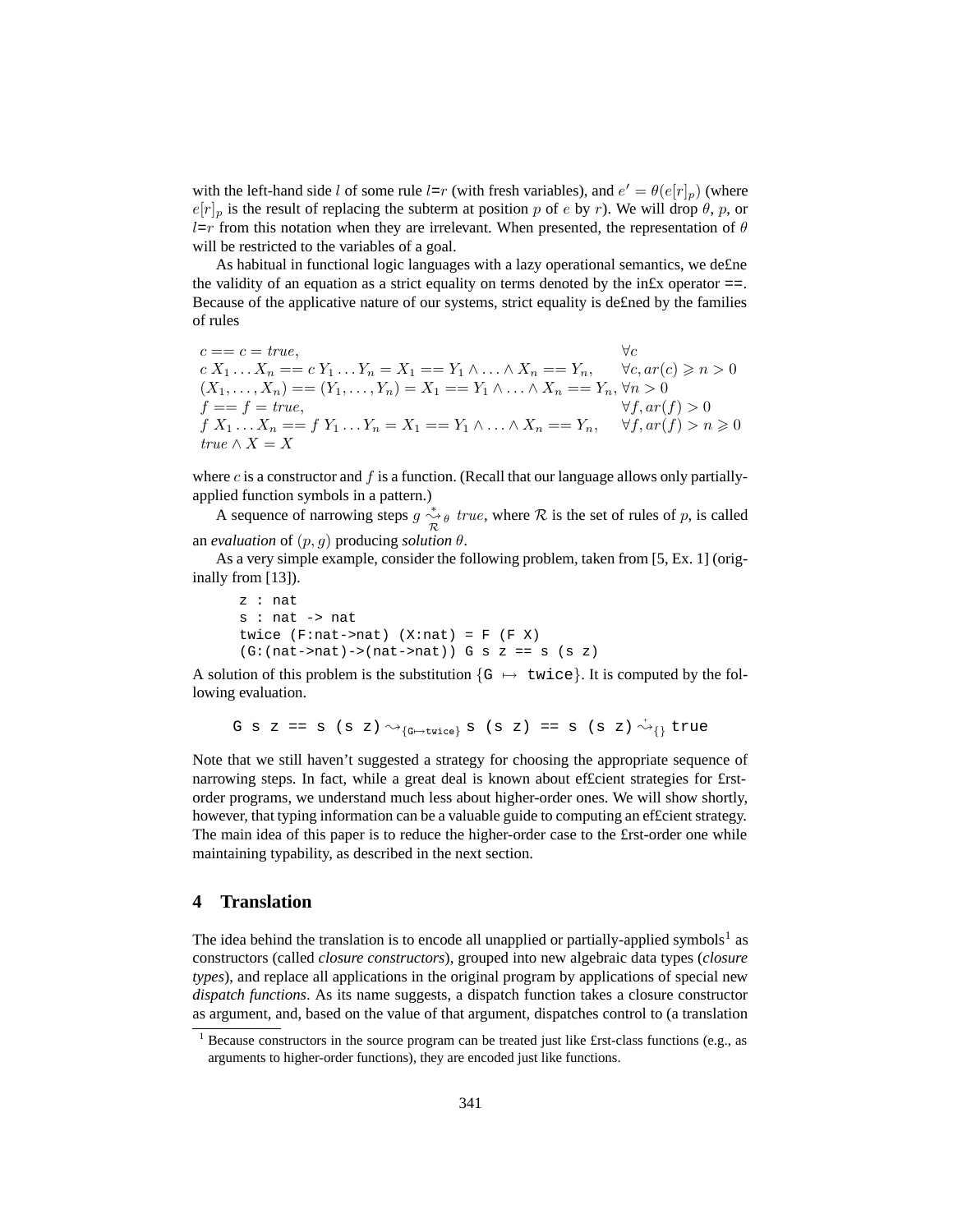with the left-hand side l of some rule  $l=r$  (with fresh variables), and  $e' = \theta(e[r]_p)$  (where  $e[r]_p$  is the result of replacing the subterm at position p of e by r). We will drop  $\theta$ , p, or  $l=r$  from this notation when they are irrelevant. When presented, the representation of  $\theta$ will be restricted to the variables of a goal.

As habitual in functional logic languages with a lazy operational semantics, we de£ne the validity of an equation as a strict equality on terms denoted by the in£x operator  $==$ . Because of the applicative nature of our systems, strict equality is de£ned by the families of rules

 $c == c = true,$   $\forall c$  $c X_1 ... X_n = c Y_1 ... Y_n = X_1 = Y_1 \wedge ... \wedge X_n = Y_n, \quad \forall c, ar(c) \geqslant n > 0$  $(X_1, \ldots, X_n) = (Y_1, \ldots, Y_n) = X_1 = Y_1 \wedge \ldots \wedge X_n = Y_n, \forall n > 0$  $f == f = true,$   $\forall f, ar(f) > 0$  $f X_1 ... X_n = f Y_1 ... Y_n = X_1 = Y_1 \wedge ... \wedge X_n = Y_n, \quad \forall f, ar(f) > n \geq 0$  $true \wedge X = X$ 

where  $c$  is a constructor and  $f$  is a function. (Recall that our language allows only partiallyapplied function symbols in a pattern.)

A sequence of narrowing steps  $g \overset{*}{\underset{\mathcal{R}}{\sim}} \theta$  true, where  $\mathcal R$  is the set of rules of p, is called an *evaluation* of  $(p, q)$  producing *solution*  $\theta$ .

As a very simple example, consider the following problem, taken from [5, Ex. 1] (originally from [13]).

```
z : nat
s : nat -> nat
twice (F:\texttt{nat}-\texttt{nat}) (X:\texttt{nat}) = F (F \ X)(G:(nat->nat)->nat->nat)) G s z == s (s z)
```
A solution of this problem is the substitution  $\{G \mapsto \text{twice}\}\$ . It is computed by the following evaluation.

G s z == s (s z) 
$$
\leadsto_{\{\text{G}\mapsto \text{twice}\}}
$$
 s (s z) == s (s z)  $\overset{+}{\leadsto}_{\{\}}$  true

Note that we still haven't suggested a strategy for choosing the appropriate sequence of narrowing steps. In fact, while a great deal is known about ef£cient strategies for £rstorder programs, we understand much less about higher-order ones. We will show shortly, however, that typing information can be a valuable guide to computing an ef£cient strategy. The main idea of this paper is to reduce the higher-order case to the £rst-order one while maintaining typability, as described in the next section.

# **4 Translation**

The idea behind the translation is to encode all unapplied or partially-applied symbols<sup>1</sup> as constructors (called *closure constructors*), grouped into new algebraic data types (*closure types*), and replace all applications in the original program by applications of special new *dispatch functions*. As its name suggests, a dispatch function takes a closure constructor as argument, and, based on the value of that argument, dispatches control to (a translation

<sup>&</sup>lt;sup>1</sup> Because constructors in the source program can be treated just like £rst-class functions (e.g., as arguments to higher-order functions), they are encoded just like functions.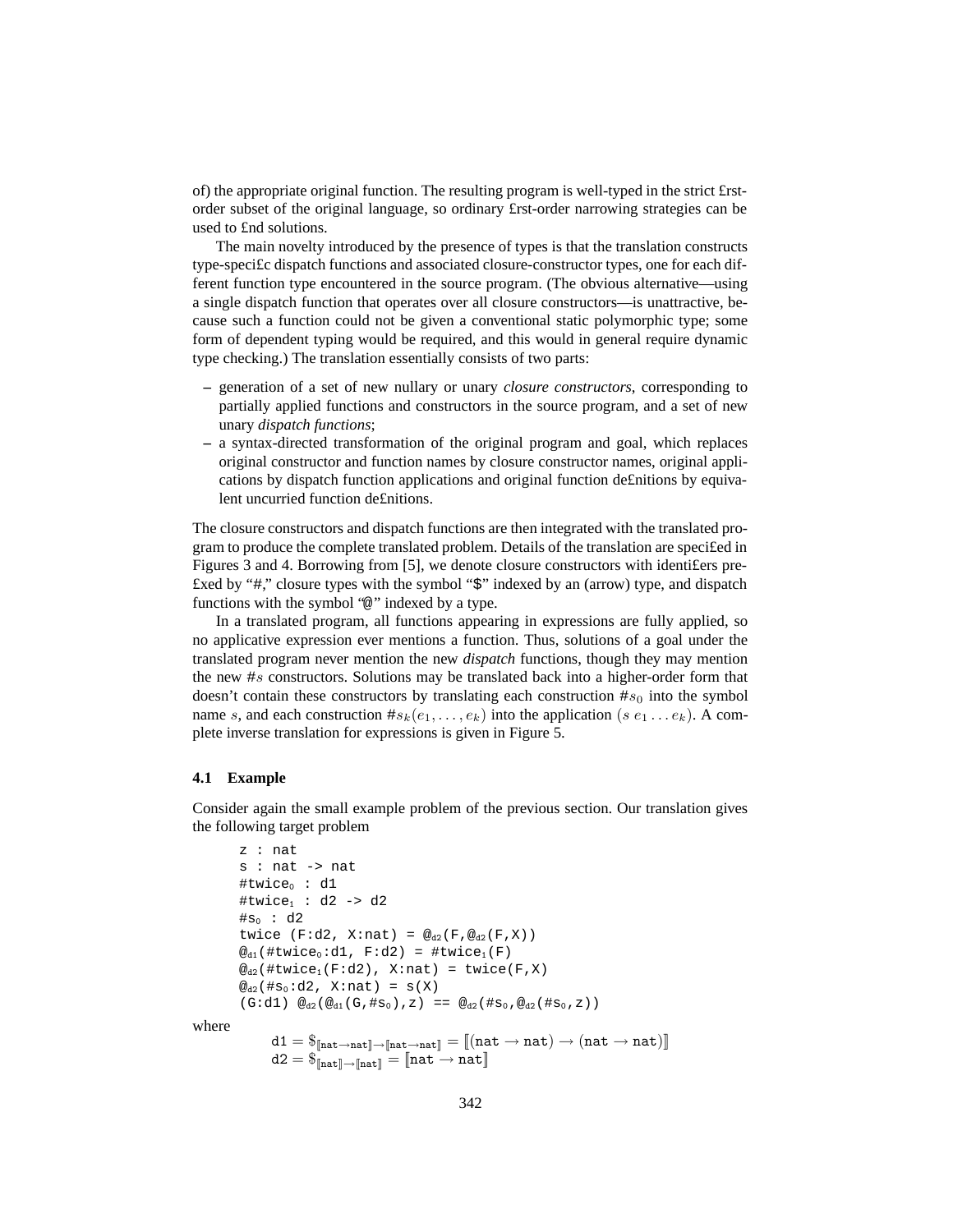of) the appropriate original function. The resulting program is well-typed in the strict £rstorder subset of the original language, so ordinary £rst-order narrowing strategies can be used to £nd solutions.

The main novelty introduced by the presence of types is that the translation constructs type-speci£c dispatch functions and associated closure-constructor types, one for each different function type encountered in the source program. (The obvious alternative—using a single dispatch function that operates over all closure constructors—is unattractive, because such a function could not be given a conventional static polymorphic type; some form of dependent typing would be required, and this would in general require dynamic type checking.) The translation essentially consists of two parts:

- **–** generation of a set of new nullary or unary *closure constructors*, corresponding to partially applied functions and constructors in the source program, and a set of new unary *dispatch functions*;
- **–** a syntax-directed transformation of the original program and goal, which replaces original constructor and function names by closure constructor names, original applications by dispatch function applications and original function de£nitions by equivalent uncurried function de£nitions.

The closure constructors and dispatch functions are then integrated with the translated program to produce the complete translated problem. Details of the translation are speci£ed in Figures 3 and 4. Borrowing from [5], we denote closure constructors with identi£ers pre- £xed by "#," closure types with the symbol "\$" indexed by an (arrow) type, and dispatch functions with the symbol "@" indexed by a type.

In a translated program, all functions appearing in expressions are fully applied, so no applicative expression ever mentions a function. Thus, solutions of a goal under the translated program never mention the new *dispatch* functions, though they may mention the new #s constructors. Solutions may be translated back into a higher-order form that doesn't contain these constructors by translating each construction  $\#s_0$  into the symbol name s, and each construction  $\#s_k(e_1, \ldots, e_k)$  into the application  $(s e_1 \ldots e_k)$ . A complete inverse translation for expressions is given in Figure 5.

## **4.1 Example**

Consider again the small example problem of the previous section. Our translation gives the following target problem

```
z : nat
             s : nat -> nat
             #twice<sub>0</sub> : d1
             #twice<sub>1</sub> : d2 -> d2
             #s_0 : d2twice (F:d2, X:nat) = \mathcal{Q}_{d2}(F, \mathcal{Q}_{d2}(F, X))@_{d1}(#twice<sub>0</sub>:d1, F:d2) = #twice<sub>1</sub>(F)
             \omega_{d2}(#twice<sub>1</sub>(F:d2), X:nat) = twice(F,X)
             \mathcal{Q}_{d2}(#s<sub>0</sub>:d2, X:nat) = s(X)
              (G:d1) \mathbb{Q}_{d2}(\mathbb{Q}_{d1}(G,\#s_0),z) = \mathbb{Q}_{d2}(\#s_0,\mathbb{Q}_{d2}(\#s_0,z))where
                      \mathtt{d1} = \$_{\mathtt{[hat} \rightarrow \mathtt{nat}]} \rightarrow \mathtt{[hat} \rightarrow \mathtt{nat}] = \mathtt{[}( \mathtt{nat} \rightarrow \mathtt{nat} ) \rightarrow ( \mathtt{nat} \rightarrow \mathtt{nat} ) \mathtt{]}d2 = \S_{\lceil \mathsf{nat} \rceil \to \lceil \mathsf{nat} \rceil} = \lceil \mathsf{nat} \to \mathsf{nat} \rceil
```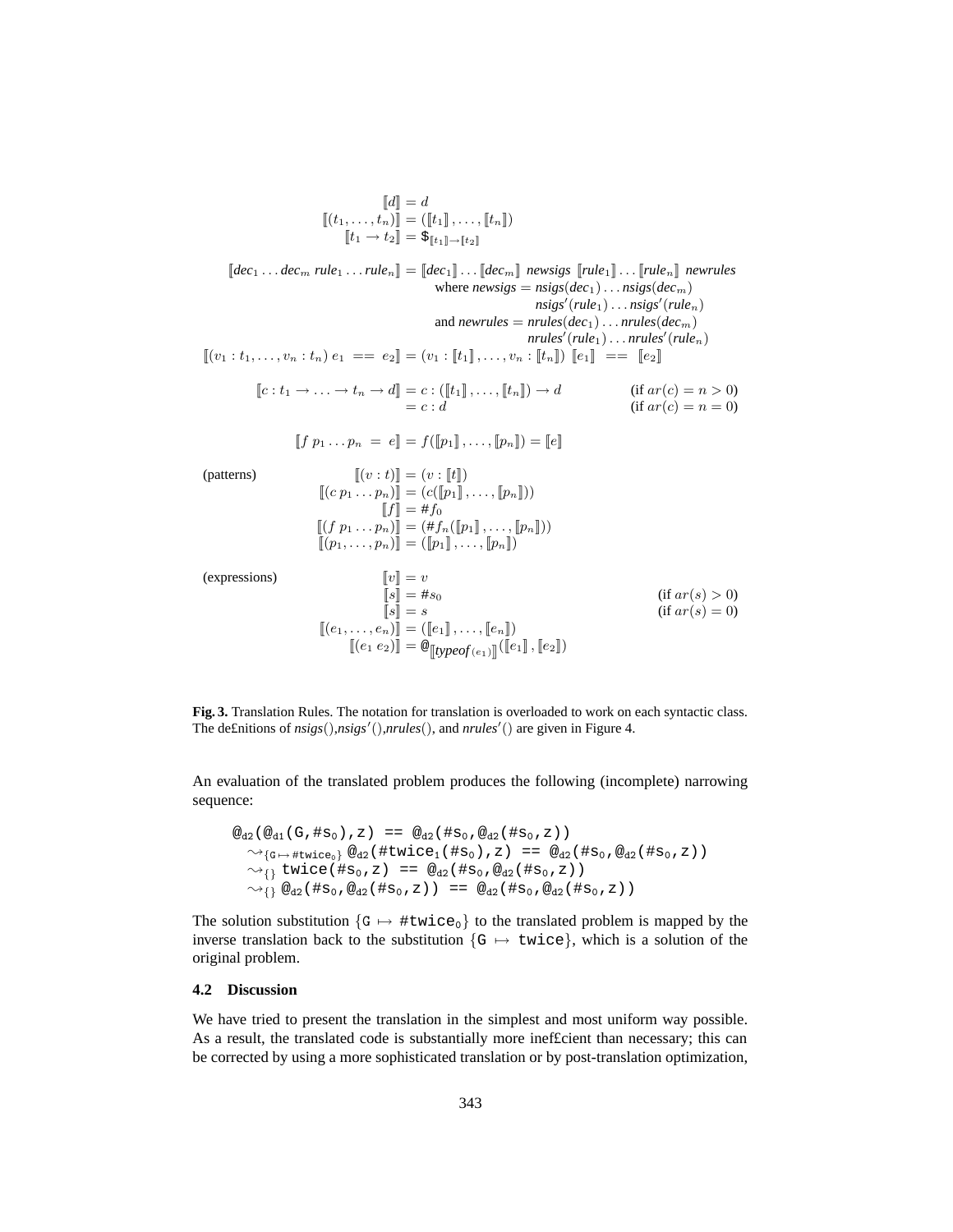$$
\begin{aligned}\n[\![d]\!] &= d \\
[(t_1, \ldots, t_n)]\!] &= ([\![t_1]\!], \ldots, [\![t_n]\!]) \\
[\![t_1 \to t_2]\!] &= \xi_{[\![t_1]\!]\to [\![t_2]\!]}\n\end{aligned}
$$

 $[[dec_1 \ldots dec_m rule_1 \ldots rule_n] = [[dec_1] \ldots [[dec_m]] \text{ news} is [[rule_1] \ldots [[rule_n] \text{ new} ]$  *newrules* where  $newsigs = nsigs(dec<sub>1</sub>) \dots nsigs(dec<sub>m</sub>)$  $\overrightarrow{nslgs'}(\textit{rule}_1)\ldots\overrightarrow{nslgs'}(\textit{rule}_n)$ and *newrules* =  $nrule(s(dec<sub>1</sub>)... *nrules(dec<sub>m</sub>)*$  $\mathit{nrules'}(\mathit{rule}_1)\ldots\mathit{nrules'}(\mathit{rule}_n)$  $[(v_1 : t_1, \ldots, v_n : t_n) e_1 = e_2] = (v_1 : [t_1], \ldots, v_n : [t_n]) [e_1] = [e_2]$  $[[c: t_1 \rightarrow \ldots \rightarrow t_n \rightarrow d]] = c : ([[t_1]] , \ldots, [t_n]]) \rightarrow d$ <br>= c : d (if  $ar(c) = n > 0$ )<br>(if  $ar(c) = n = 0$ )  $[ [f \ p_1 \dots p_n = e] ] = f([p_1], \dots, [p_n]) = [e]$ (patterns)  $[(v : t)] = (v : [t])$  $[(c\ p_1 \ldots p_n)] = (c([p_1], \ldots, [p_n]))$  $[f] = #f_0$  $[[(f\ p_1 \dots p_n)]] = (\#f_n([p_1], \dots, [p_n]))$  $\llbracket (p_1,\ldots,p_n)\rrbracket = (\llbracket p_1\rrbracket,\ldots,\llbracket p_n\rrbracket)$ 

(expressions)

$$
\begin{aligned}\n[v] &= v \\
[s] &= \#s_0 \\
[s] &= s \\
[(e_1, \dots, e_n)] &= ([e_1], \dots, [e_n]) \\
[(e_1 \ e_2)] &= \mathcal{Q}_{\text{[typeOf}(e_1)]}([e_1], [e_2])\n\end{aligned}\n\quad (if \ ar(s) > 0)
$$

**Fig. 3.** Translation Rules. The notation for translation is overloaded to work on each syntactic class. The de£nitions of  $nsigs(),nsigs')(),nrules(),$  and  $nrules'()$  are given in Figure 4.

An evaluation of the translated problem produces the following (incomplete) narrowing sequence:

$$
\begin{array}{rcl}\n\textcircled{a}_{2}(\textcircled{a}_{41}(G, \#s_{0}), z) &=& \textcircled{a}_{2}(\#s_{0}, \textcircled{a}_{2}(\#s_{0}, z)) \\
\textcircled{a}_{1}(\textcircled{a}_{41}(G, \#s_{0}), z) &=& \textcircled{a}_{2}(\#s_{0}, \textcircled{a}_{2}(\#s_{0}, z)) \\
\textcircled{a}_{1}(\textcircled{a}_{42}(\#s_{0}, z) &=& \textcircled{a}_{2}(\#s_{0}, \textcircled{a}_{2}(\#s_{0}, z)) \\
\textcircled{a}_{2}(\#s_{0}, \textcircled{a}_{2}(\#s_{0}, z)) &=& \textcircled{a}_{2}(\#s_{0}, \textcircled{a}_{2}(\#s_{0}, z)) \\
\textcircled{a}_{1}(\#s_{0}, \textcircled{a}_{2}(\#s_{0}, z)) &=& \textcircled{a}_{2}(\#s_{0}, \textcircled{a}_{2}(\#s_{0}, z))\n\end{array}
$$

The solution substitution  $\{G \mapsto \#twice_0\}$  to the translated problem is mapped by the inverse translation back to the substitution  $\{G \mapsto \text{twice}\}\$ , which is a solution of the original problem.

#### **4.2 Discussion**

We have tried to present the translation in the simplest and most uniform way possible. As a result, the translated code is substantially more inef£cient than necessary; this can be corrected by using a more sophisticated translation or by post-translation optimization,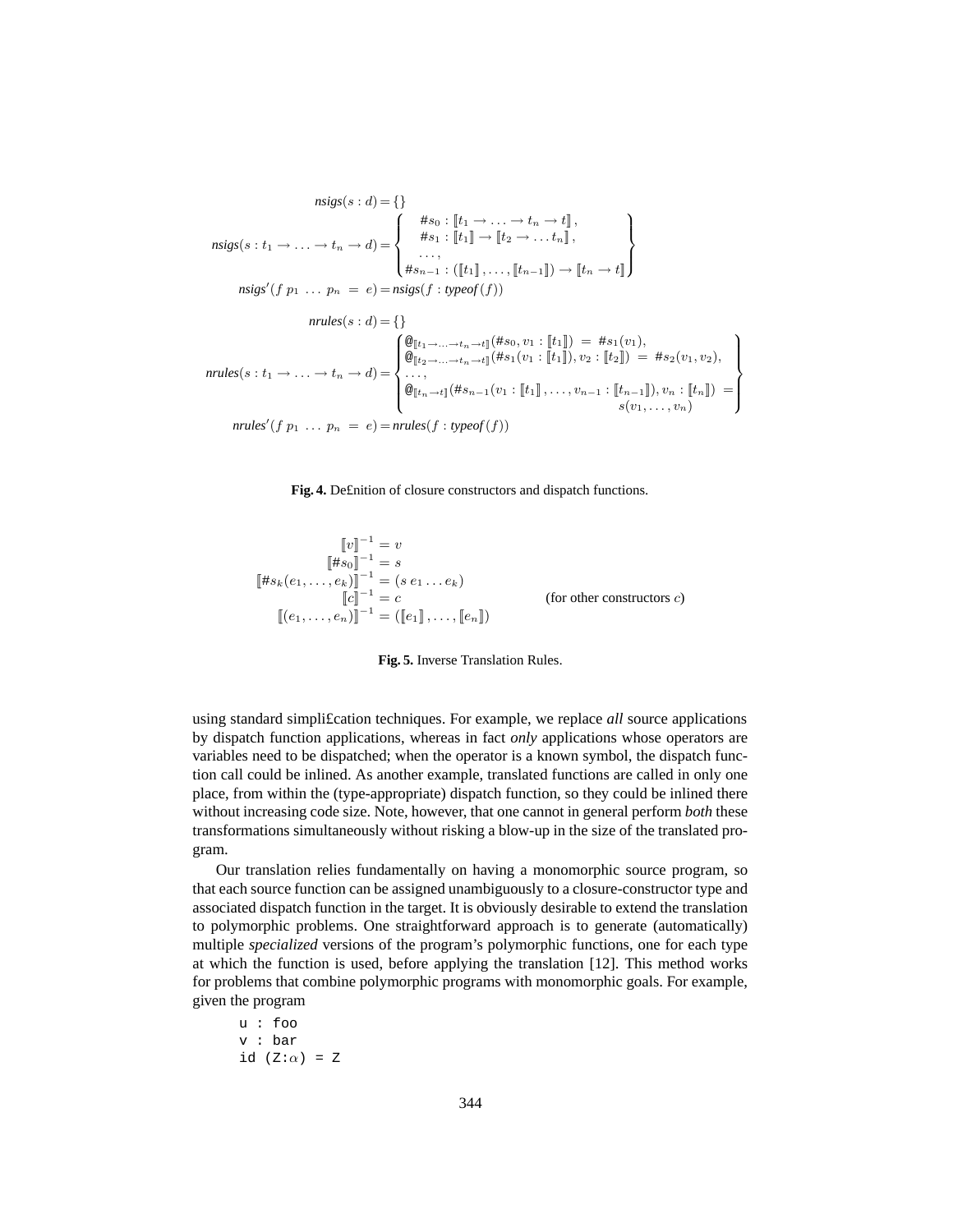$$
nsigs(s : d) = \{\}
$$
  
\n
$$
nsigs(s : t_1 \to \dots \to t_n \to d) = \begin{cases} *s_0 : [t_1 \to \dots \to t_n \to t], \\ *s_1 : [t_1] \to [t_2 \to \dots t_n], \\ \dots, \\ *s_{n-1} : ([t_1], \dots, [t_{n-1}]) \to [t_n \to t] \end{cases}
$$
  
\n
$$
nsigs'(f p_1 \dots p_n = e) = n sigs(f : typeof(f))
$$
  
\n
$$
nrules(s : d) = \{\}
$$
  
\n
$$
nrules(s : t_1 \to \dots \to t_n \to d) = \begin{cases} \mathcal{Q}_{[t_1 \to \dots \to t_n \to t]}(*s_0, v_1 : [t_1]) = *s_1(v_1), \\ \mathcal{Q}_{[t_2 \to \dots \to t_n \to t]}(*s_1(v_1 : [t_1]), v_2 : [t_2]) = *s_2(v_1, v_2), \\ \dots, \\ \mathcal{Q}_{[t_n \to t]}(*s_{n-1}(v_1 : [t_1], \dots, v_{n-1} : [t_{n-1}]), v_n : [t_n]) = \\ \mathcal{Q}_{[t_1 \to t]}(*s_{n-1}(v_1 : [t_1], \dots, v_{n-1} : [t_{n-1}]), v_n : [t_n]) = \\ s(v_1, \dots, v_n) \end{cases}
$$



$$
\begin{aligned}\n\llbracket v \rrbracket^{-1} &= v \\
\llbracket \# s_0 \rrbracket^{-1} &= s \\
\llbracket \# s_k(e_1, \dots, e_k) \rrbracket^{-1} &= (s \, e_1 \dots e_k) \\
\llbracket c \rrbracket^{-1} &= c \\
\llbracket (e_1, \dots, e_n) \rrbracket^{-1} &= (\llbracket e_1 \rrbracket, \dots, \llbracket e_n \rrbracket)\n\end{aligned}\n\tag{for other constructors } c)
$$



using standard simpli£cation techniques. For example, we replace *all* source applications by dispatch function applications, whereas in fact *only* applications whose operators are variables need to be dispatched; when the operator is a known symbol, the dispatch function call could be inlined. As another example, translated functions are called in only one place, from within the (type-appropriate) dispatch function, so they could be inlined there without increasing code size. Note, however, that one cannot in general perform *both* these transformations simultaneously without risking a blow-up in the size of the translated program.

Our translation relies fundamentally on having a monomorphic source program, so that each source function can be assigned unambiguously to a closure-constructor type and associated dispatch function in the target. It is obviously desirable to extend the translation to polymorphic problems. One straightforward approach is to generate (automatically) multiple *specialized* versions of the program's polymorphic functions, one for each type at which the function is used, before applying the translation [12]. This method works for problems that combine polymorphic programs with monomorphic goals. For example, given the program

$$
u : f \circ o
$$
  

$$
v : bar
$$
  

$$
id (Z : \alpha) = Z
$$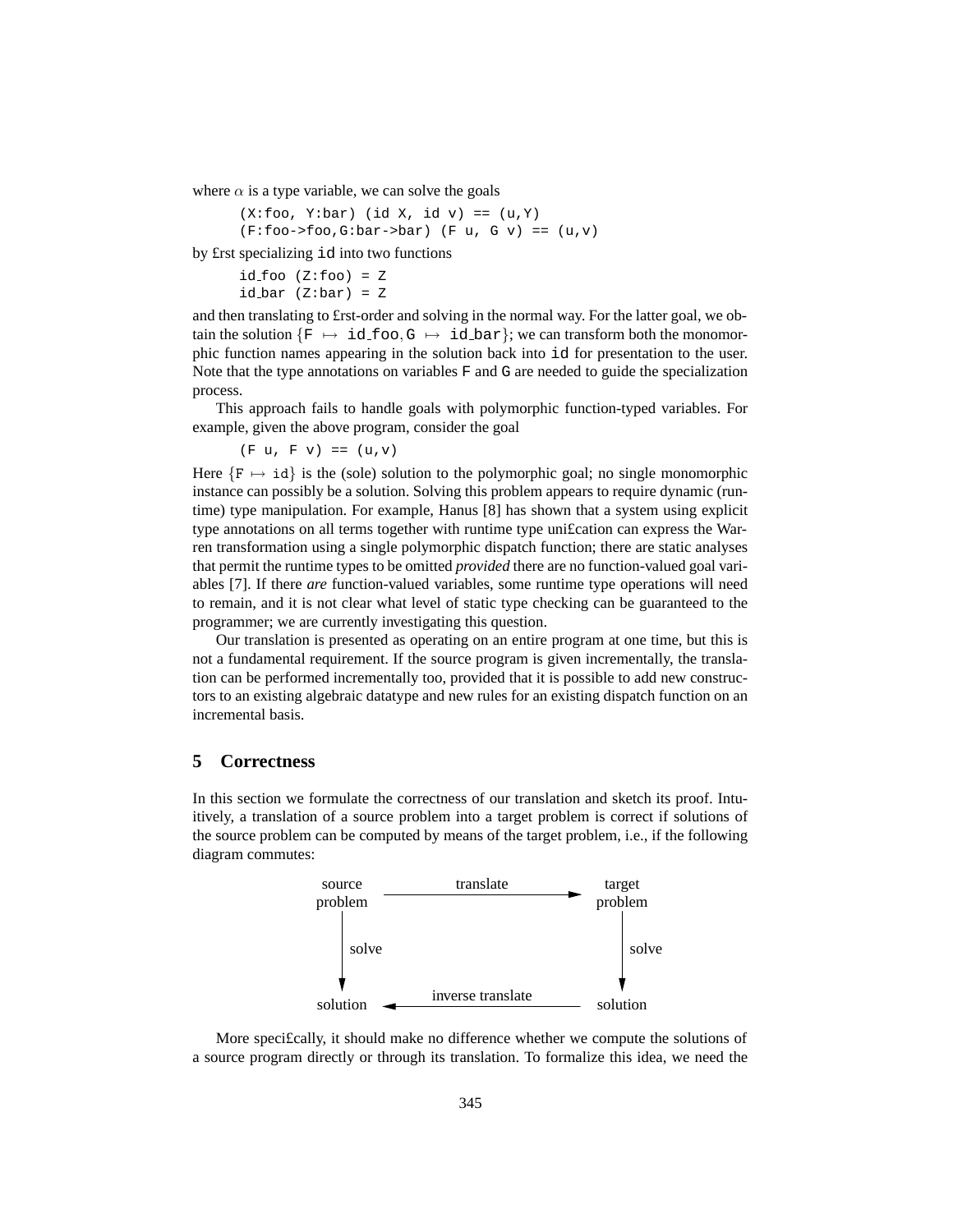where  $\alpha$  is a type variable, we can solve the goals

 $(X:foo, Y:bar)$  (id X, id v) ==  $(u, Y)$  $(F:foo->foo,G:bar->bar)$   $(F u, G v) == (u,v)$ 

by £rst specializing id into two functions

```
id\_foo (Z:foo) = Z
idbar (Z:bar) = Z
```
and then translating to £rst-order and solving in the normal way. For the latter goal, we obtain the solution  $\{F \mapsto id\_foo, G \mapsto id\_bar\}$ ; we can transform both the monomorphic function names appearing in the solution back into id for presentation to the user. Note that the type annotations on variables F and G are needed to guide the specialization process.

This approach fails to handle goals with polymorphic function-typed variables. For example, given the above program, consider the goal

 $(F u, F v) == (u, v)$ 

Here  ${F \mapsto \text{id}}$  is the (sole) solution to the polymorphic goal; no single monomorphic instance can possibly be a solution. Solving this problem appears to require dynamic (runtime) type manipulation. For example, Hanus [8] has shown that a system using explicit type annotations on all terms together with runtime type uni£cation can express the Warren transformation using a single polymorphic dispatch function; there are static analyses that permit the runtime types to be omitted *provided* there are no function-valued goal variables [7]. If there *are* function-valued variables, some runtime type operations will need to remain, and it is not clear what level of static type checking can be guaranteed to the programmer; we are currently investigating this question.

Our translation is presented as operating on an entire program at one time, but this is not a fundamental requirement. If the source program is given incrementally, the translation can be performed incrementally too, provided that it is possible to add new constructors to an existing algebraic datatype and new rules for an existing dispatch function on an incremental basis.

# **5 Correctness**

In this section we formulate the correctness of our translation and sketch its proof. Intuitively, a translation of a source problem into a target problem is correct if solutions of the source problem can be computed by means of the target problem, i.e., if the following diagram commutes:



More speci£cally, it should make no difference whether we compute the solutions of a source program directly or through its translation. To formalize this idea, we need the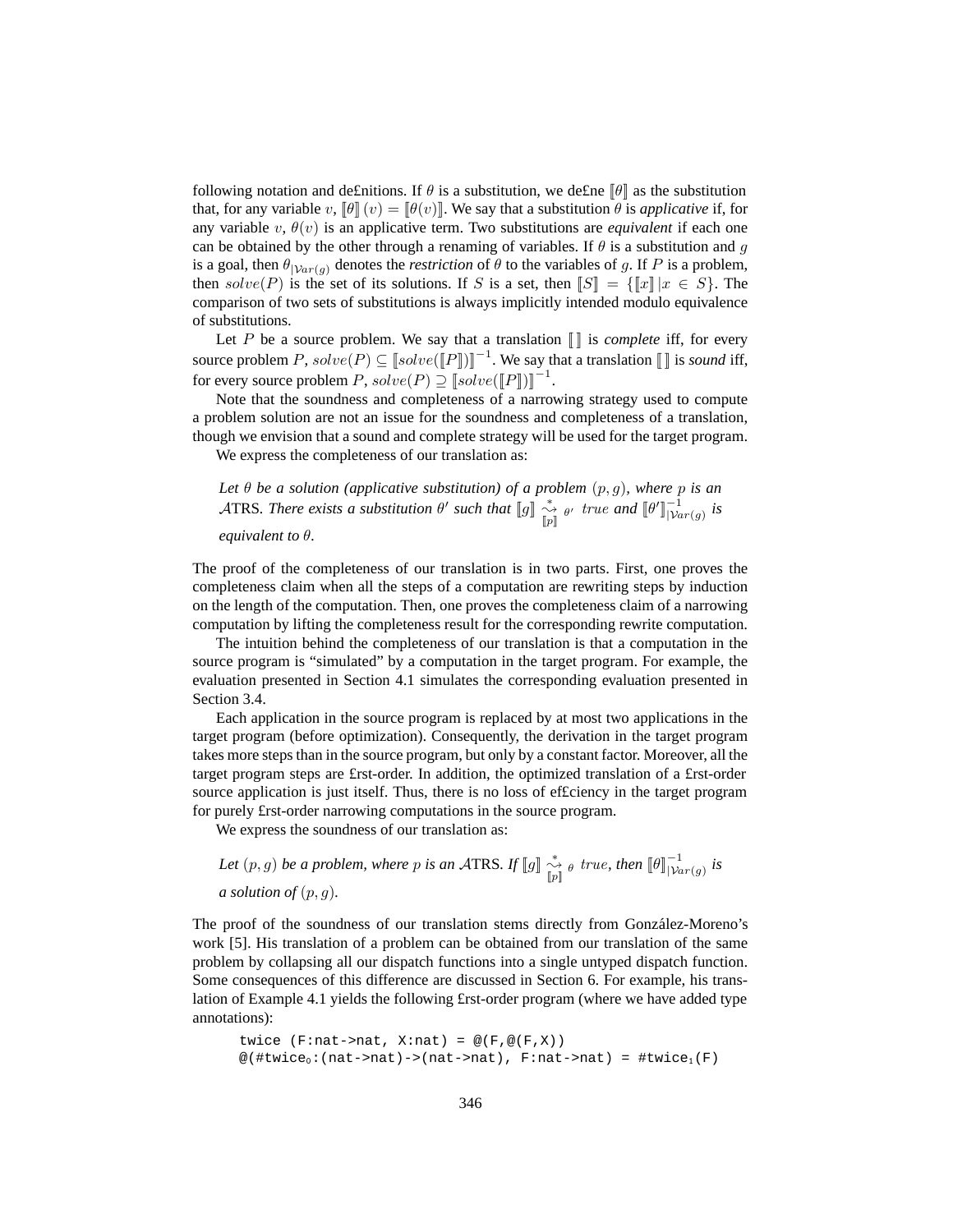following notation and de£nitions. If  $\theta$  is a substitution, we de£ne  $\|\theta\|$  as the substitution that, for any variable  $v$ ,  $\llbracket \theta \rrbracket(v) = \llbracket \theta(v) \rrbracket$ . We say that a substitution  $\theta$  is *applicative* if, for any variable  $v, \theta(v)$  is an applicative term. Two substitutions are *equivalent* if each one can be obtained by the other through a renaming of variables. If  $\theta$  is a substitution and g is a goal, then  $\theta_{|\mathcal{V}ar(g)}$  denotes the *restriction* of  $\theta$  to the variables of g. If P is a problem, then  $solve(P)$  is the set of its solutions. If S is a set, then  $\|S\| = {\|x\| \, |x \in S}$ . The comparison of two sets of substitutions is always implicitly intended modulo equivalence of substitutions.

Let P be a source problem. We say that a translation  $\llbracket \cdot \rrbracket$  is *complete* iff, for every source problem  $P$ ,  $solve(P) \subseteq [solve([P]])^{-1}$ . We say that a translation  $[]$  is *sound* iff, for every source problem  $P$ ,  $solve(P) \supseteq [solve([P]])]^{-1}$ .

Note that the soundness and completeness of a narrowing strategy used to compute a problem solution are not an issue for the soundness and completeness of a translation, though we envision that a sound and complete strategy will be used for the target program.

We express the completeness of our translation as:

*Let* θ *be a solution (applicative substitution) of a problem* (p, g)*, where* p *is an* ATRS*. There exists a substitution*  $\theta'$  *such that*  $\llbracket g \rrbracket \overset{*}{\underset{[p]}{\rightsquigarrow}} \theta'$  *true and*  $\llbracket \theta' \rrbracket_{[Var(g)}^{-1}$  *is* 

*equivalent to* θ*.*

The proof of the completeness of our translation is in two parts. First, one proves the completeness claim when all the steps of a computation are rewriting steps by induction on the length of the computation. Then, one proves the completeness claim of a narrowing computation by lifting the completeness result for the corresponding rewrite computation.

The intuition behind the completeness of our translation is that a computation in the source program is "simulated" by a computation in the target program. For example, the evaluation presented in Section 4.1 simulates the corresponding evaluation presented in Section 3.4.

Each application in the source program is replaced by at most two applications in the target program (before optimization). Consequently, the derivation in the target program takes more steps than in the source program, but only by a constant factor. Moreover, all the target program steps are £rst-order. In addition, the optimized translation of a £rst-order source application is just itself. Thus, there is no loss of ef£ciency in the target program for purely £rst-order narrowing computations in the source program.

We express the soundness of our translation as:

Let 
$$
(p, g)
$$
 be a problem, where p is an ATRS. If  $[g] \underset{[p]}{\overset{*}{\sim}} \underset{[p]}{\circ} \underset{[p]}{\overset{*}{\sim}} \circ$  true, then  $[{\theta}]_{|\mathcal{V}ar(g)}^{-1}$  is a solution of  $(p, g)$ .

The proof of the soundness of our translation stems directly from González-Moreno's work [5]. His translation of a problem can be obtained from our translation of the same problem by collapsing all our dispatch functions into a single untyped dispatch function. Some consequences of this difference are discussed in Section 6. For example, his translation of Example 4.1 yields the following £rst-order program (where we have added type annotations):

```
twice (F:nat->nat, X:nat) = \mathcal{Q}(F,\mathcal{Q}(F,X))@(#twice<sub>0</sub>:(nat->nat)->(nat->nat), F:nat->nat) = #twice<sub>1</sub>(F)
```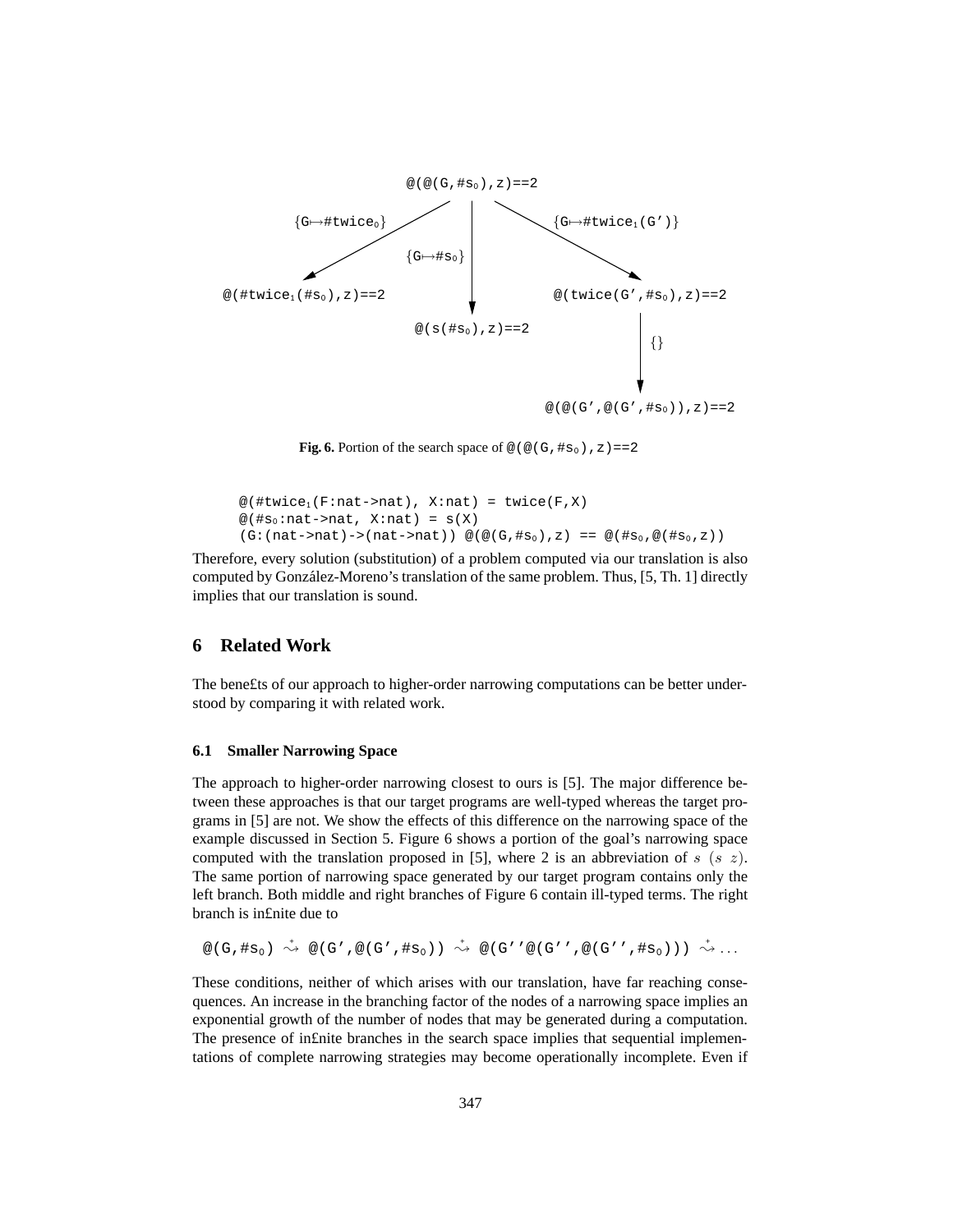

**Fig. 6.** Portion of the search space of  $\mathcal{Q}(\mathcal{Q}(G, \#s_0), z) = 2$ 

```
@(#twice<sub>1</sub>(F:nat->nat), X:nat) = twice(F,X)
@(#s<sub>0</sub>:nat->nat, X:nat) = s(X)(G:(nat->nat)->(nat->nat)) \ @(@(G, #s0),z) == @(\#s0,@(*s0,z))
```
Therefore, every solution (substitution) of a problem computed via our translation is also computed by González-Moreno's translation of the same problem. Thus, [5, Th. 1] directly implies that our translation is sound.

# **6 Related Work**

The bene£ts of our approach to higher-order narrowing computations can be better understood by comparing it with related work.

#### **6.1 Smaller Narrowing Space**

The approach to higher-order narrowing closest to ours is [5]. The major difference between these approaches is that our target programs are well-typed whereas the target programs in [5] are not. We show the effects of this difference on the narrowing space of the example discussed in Section 5. Figure 6 shows a portion of the goal's narrowing space computed with the translation proposed in [5], where 2 is an abbreviation of s (s z). The same portion of narrowing space generated by our target program contains only the left branch. Both middle and right branches of Figure 6 contain ill-typed terms. The right branch is in£nite due to

```
@(\mathsf{G},\# \mathtt{s}_0) \;\stackrel{\star}{\leadsto}\; @(\mathsf{G}' , @(\mathsf{G}' , \# \mathtt{s}_0) ) \;\stackrel{\star}{\leadsto}\; \mathop{\mathrm{GL}}\nolimits(S' , @(\mathsf{G}' ' , @(\mathsf{G}'') , \# \mathtt{s}_0 ) ) )\;\stackrel{\star}{\leadsto}\; \ldots
```
These conditions, neither of which arises with our translation, have far reaching consequences. An increase in the branching factor of the nodes of a narrowing space implies an exponential growth of the number of nodes that may be generated during a computation. The presence of in£nite branches in the search space implies that sequential implementations of complete narrowing strategies may become operationally incomplete. Even if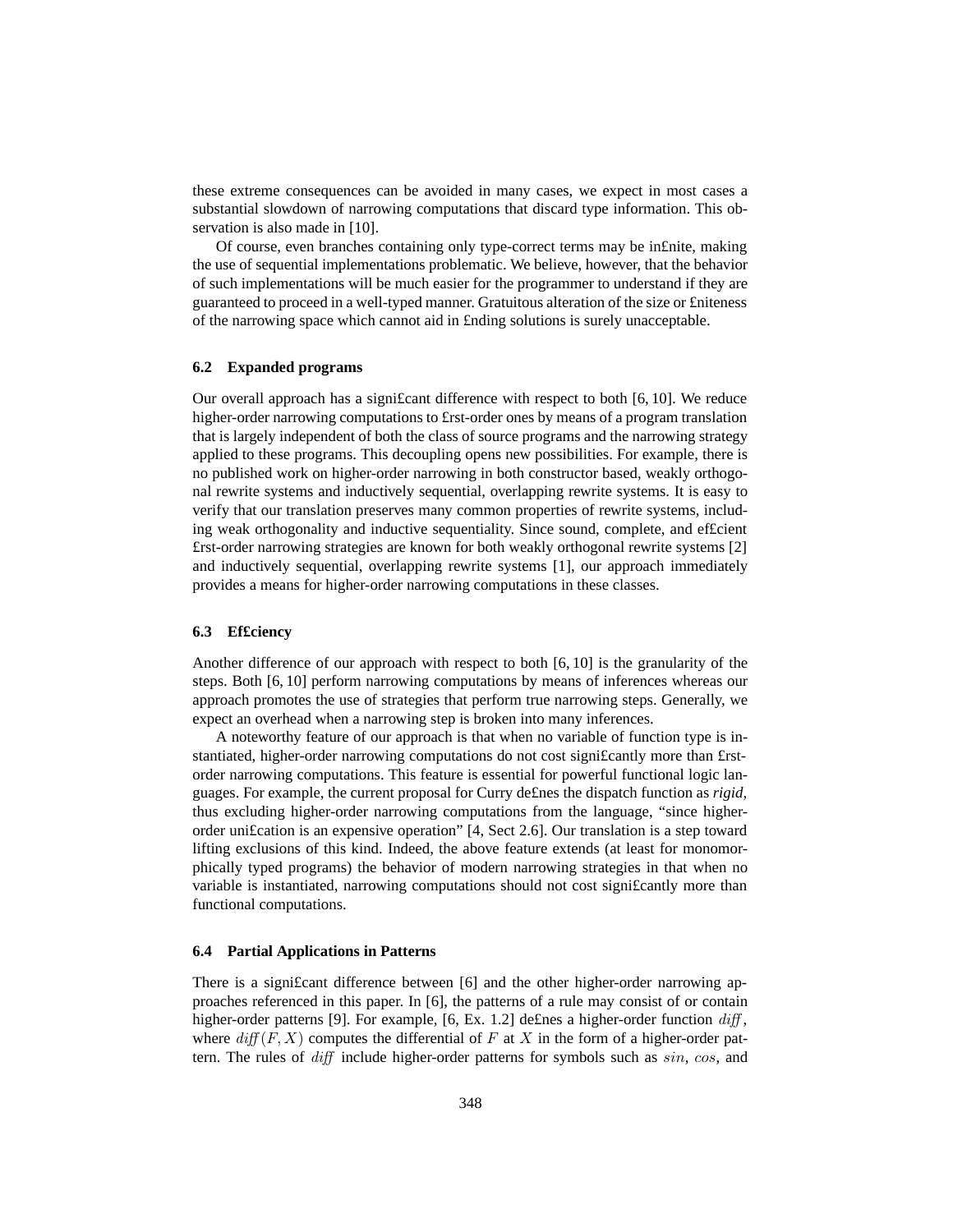these extreme consequences can be avoided in many cases, we expect in most cases a substantial slowdown of narrowing computations that discard type information. This observation is also made in [10].

Of course, even branches containing only type-correct terms may be in£nite, making the use of sequential implementations problematic. We believe, however, that the behavior of such implementations will be much easier for the programmer to understand if they are guaranteed to proceed in a well-typed manner. Gratuitous alteration of the size or £niteness of the narrowing space which cannot aid in £nding solutions is surely unacceptable.

## **6.2 Expanded programs**

Our overall approach has a signi£cant difference with respect to both [6, 10]. We reduce higher-order narrowing computations to £rst-order ones by means of a program translation that is largely independent of both the class of source programs and the narrowing strategy applied to these programs. This decoupling opens new possibilities. For example, there is no published work on higher-order narrowing in both constructor based, weakly orthogonal rewrite systems and inductively sequential, overlapping rewrite systems. It is easy to verify that our translation preserves many common properties of rewrite systems, including weak orthogonality and inductive sequentiality. Since sound, complete, and ef£cient £rst-order narrowing strategies are known for both weakly orthogonal rewrite systems [2] and inductively sequential, overlapping rewrite systems [1], our approach immediately provides a means for higher-order narrowing computations in these classes.

#### **6.3 Ef£ciency**

Another difference of our approach with respect to both [6, 10] is the granularity of the steps. Both [6, 10] perform narrowing computations by means of inferences whereas our approach promotes the use of strategies that perform true narrowing steps. Generally, we expect an overhead when a narrowing step is broken into many inferences.

A noteworthy feature of our approach is that when no variable of function type is instantiated, higher-order narrowing computations do not cost signi£cantly more than £rstorder narrowing computations. This feature is essential for powerful functional logic languages. For example, the current proposal for Curry de£nes the dispatch function as *rigid*, thus excluding higher-order narrowing computations from the language, "since higherorder uni£cation is an expensive operation" [4, Sect 2.6]. Our translation is a step toward lifting exclusions of this kind. Indeed, the above feature extends (at least for monomorphically typed programs) the behavior of modern narrowing strategies in that when no variable is instantiated, narrowing computations should not cost signi£cantly more than functional computations.

#### **6.4 Partial Applications in Patterns**

There is a signi£cant difference between [6] and the other higher-order narrowing approaches referenced in this paper. In [6], the patterns of a rule may consist of or contain higher-order patterns [9]. For example, [6, Ex. 1.2] defines a higher-order function  $diff$ , where  $diff(F, X)$  computes the differential of F at X in the form of a higher-order pattern. The rules of diff include higher-order patterns for symbols such as sin, cos, and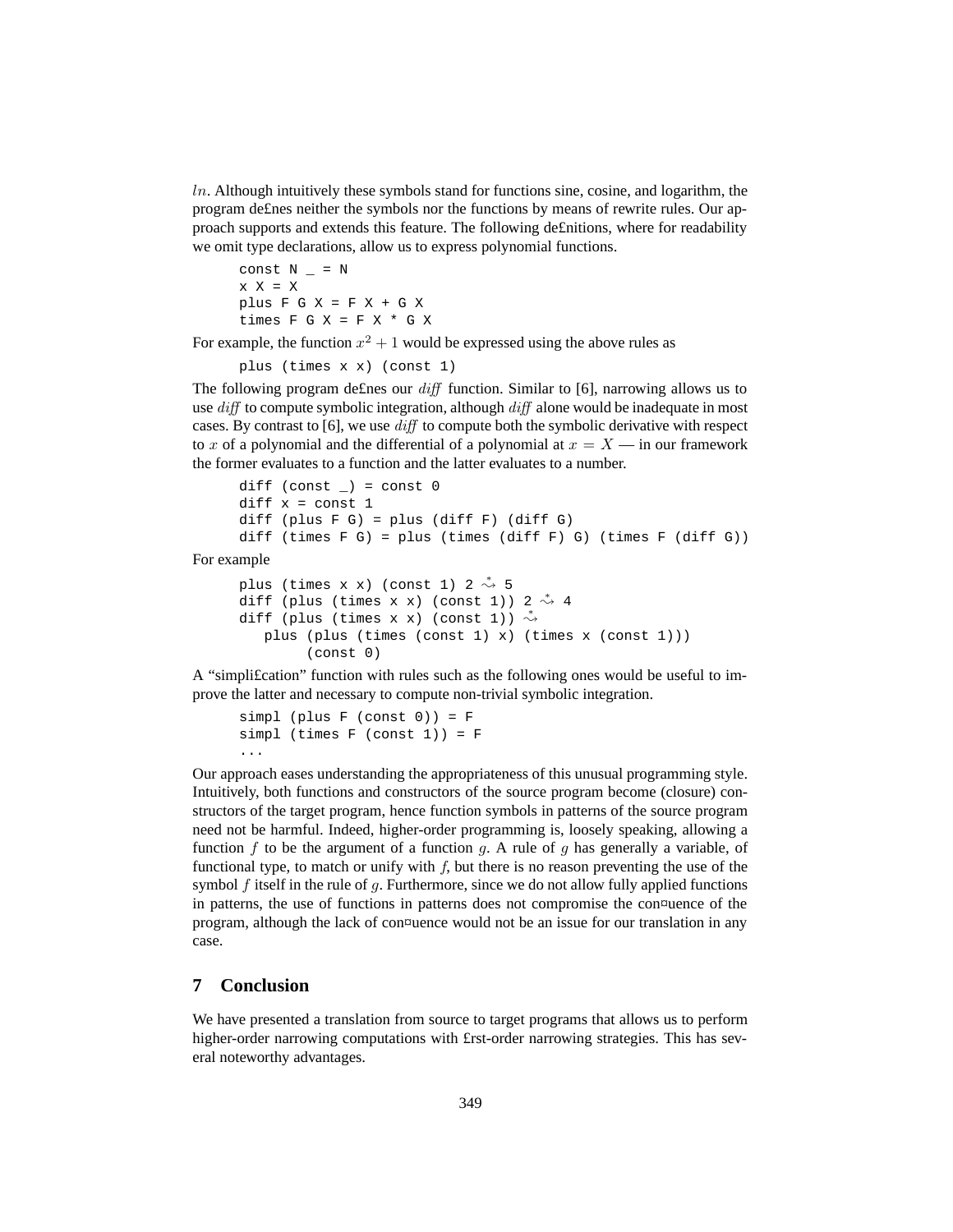$ln$ . Although intuitively these symbols stand for functions sine, cosine, and logarithm, the program de£nes neither the symbols nor the functions by means of rewrite rules. Our approach supports and extends this feature. The following de£nitions, where for readability we omit type declarations, allow us to express polynomial functions.

const  $N = N$  $x \times x = x$ plus  $F G X = F X + G X$ times  $F G X = F X * G X$ 

For example, the function  $x^2 + 1$  would be expressed using the above rules as

plus (times x x) (const 1)

The following program de£nes our  $diff$  function. Similar to [6], narrowing allows us to use diff to compute symbolic integration, although diff alone would be inadequate in most cases. By contrast to  $[6]$ , we use  $diff$  to compute both the symbolic derivative with respect to x of a polynomial and the differential of a polynomial at  $x = X -$  in our framework the former evaluates to a function and the latter evaluates to a number.

```
diff (const _{}) = const 0diff x = const 1diff (plus F G) = plus (diff F) (diff G)
diff (times F G) = plus (times (diff F) G) (times F (diff G))
```
For example

```
plus (times x x) (const 1) 2 \stackrel{*}{\rightsquigarrow} 5
diff (plus (times x x) (const 1)) 2 \stackrel{*}{\rightsquigarrow} 4diff (plus (times x x) (const 1)) \stackrel{*}{\rightsquigarrow}plus (plus (times (const 1) x) (times x (const 1)))
            (const 0)
```
A "simpli£cation" function with rules such as the following ones would be useful to improve the latter and necessary to compute non-trivial symbolic integration.

```
simpl (plus F (const 0)) = Fsimpl (times F (const 1)) = F
...
```
Our approach eases understanding the appropriateness of this unusual programming style. Intuitively, both functions and constructors of the source program become (closure) constructors of the target program, hence function symbols in patterns of the source program need not be harmful. Indeed, higher-order programming is, loosely speaking, allowing a function  $f$  to be the argument of a function  $g$ . A rule of  $g$  has generally a variable, of functional type, to match or unify with  $f$ , but there is no reason preventing the use of the symbol  $f$  itself in the rule of  $q$ . Furthermore, since we do not allow fully applied functions in patterns, the use of functions in patterns does not compromise the con¤uence of the program, although the lack of con¤uence would not be an issue for our translation in any case.

# **7 Conclusion**

We have presented a translation from source to target programs that allows us to perform higher-order narrowing computations with £rst-order narrowing strategies. This has several noteworthy advantages.